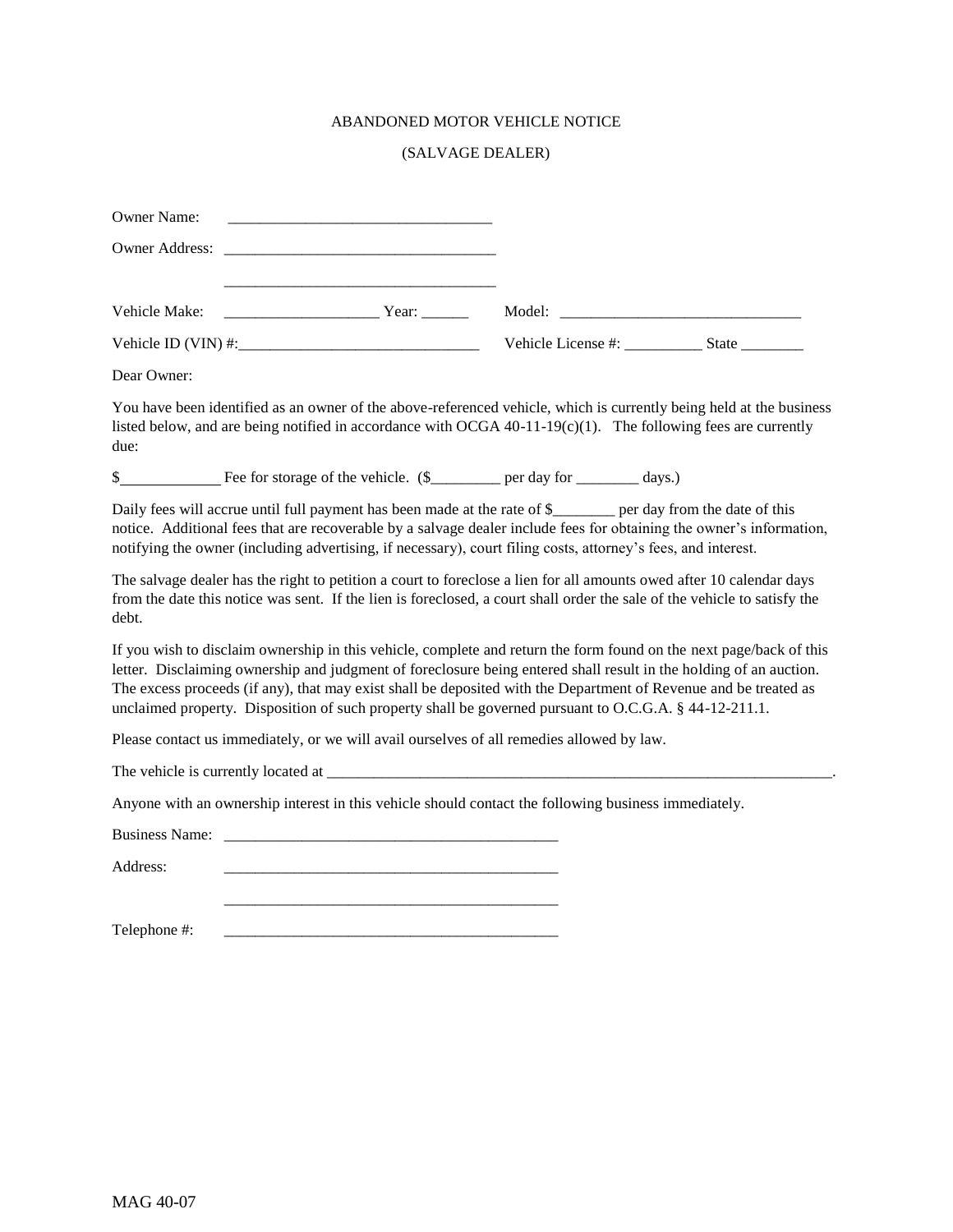## ABANDONED MOTOR VEHICLE NOTICE

## (SALVAGE DEALER)

| Owner Name:                                                                                                                                                                                                                                                                                                                                                                                                                                                             |                                                                                                                                                                                                                                                   |  |  |  |  |  |
|-------------------------------------------------------------------------------------------------------------------------------------------------------------------------------------------------------------------------------------------------------------------------------------------------------------------------------------------------------------------------------------------------------------------------------------------------------------------------|---------------------------------------------------------------------------------------------------------------------------------------------------------------------------------------------------------------------------------------------------|--|--|--|--|--|
|                                                                                                                                                                                                                                                                                                                                                                                                                                                                         |                                                                                                                                                                                                                                                   |  |  |  |  |  |
|                                                                                                                                                                                                                                                                                                                                                                                                                                                                         |                                                                                                                                                                                                                                                   |  |  |  |  |  |
| Vehicle Make:                                                                                                                                                                                                                                                                                                                                                                                                                                                           |                                                                                                                                                                                                                                                   |  |  |  |  |  |
|                                                                                                                                                                                                                                                                                                                                                                                                                                                                         |                                                                                                                                                                                                                                                   |  |  |  |  |  |
| Dear Owner:                                                                                                                                                                                                                                                                                                                                                                                                                                                             |                                                                                                                                                                                                                                                   |  |  |  |  |  |
| You have been identified as an owner of the above-referenced vehicle, which is currently being held at the business<br>listed below, and are being notified in accordance with OCGA 40-11-19(c)(1). The following fees are currently<br>due:                                                                                                                                                                                                                            |                                                                                                                                                                                                                                                   |  |  |  |  |  |
|                                                                                                                                                                                                                                                                                                                                                                                                                                                                         | \$                                                                                                                                                                                                                                                |  |  |  |  |  |
| Daily fees will accrue until full payment has been made at the rate of \$<br>notice. Additional fees that are recoverable by a salvage dealer include fees for obtaining the owner's information,<br>notifying the owner (including advertising, if necessary), court filing costs, attorney's fees, and interest.                                                                                                                                                      |                                                                                                                                                                                                                                                   |  |  |  |  |  |
| debt.                                                                                                                                                                                                                                                                                                                                                                                                                                                                   | The salvage dealer has the right to petition a court to foreclose a lien for all amounts owed after 10 calendar days<br>from the date this notice was sent. If the lien is foreclosed, a court shall order the sale of the vehicle to satisfy the |  |  |  |  |  |
| If you wish to disclaim ownership in this vehicle, complete and return the form found on the next page/back of this<br>letter. Disclaiming ownership and judgment of foreclosure being entered shall result in the holding of an auction.<br>The excess proceeds (if any), that may exist shall be deposited with the Department of Revenue and be treated as<br>unclaimed property. Disposition of such property shall be governed pursuant to O.C.G.A. § 44-12-211.1. |                                                                                                                                                                                                                                                   |  |  |  |  |  |
| Please contact us immediately, or we will avail ourselves of all remedies allowed by law.                                                                                                                                                                                                                                                                                                                                                                               |                                                                                                                                                                                                                                                   |  |  |  |  |  |
|                                                                                                                                                                                                                                                                                                                                                                                                                                                                         |                                                                                                                                                                                                                                                   |  |  |  |  |  |
| Anyone with an ownership interest in this vehicle should contact the following business immediately.                                                                                                                                                                                                                                                                                                                                                                    |                                                                                                                                                                                                                                                   |  |  |  |  |  |
|                                                                                                                                                                                                                                                                                                                                                                                                                                                                         |                                                                                                                                                                                                                                                   |  |  |  |  |  |
| Address:                                                                                                                                                                                                                                                                                                                                                                                                                                                                |                                                                                                                                                                                                                                                   |  |  |  |  |  |
|                                                                                                                                                                                                                                                                                                                                                                                                                                                                         |                                                                                                                                                                                                                                                   |  |  |  |  |  |
| Telephone #:                                                                                                                                                                                                                                                                                                                                                                                                                                                            |                                                                                                                                                                                                                                                   |  |  |  |  |  |
|                                                                                                                                                                                                                                                                                                                                                                                                                                                                         |                                                                                                                                                                                                                                                   |  |  |  |  |  |